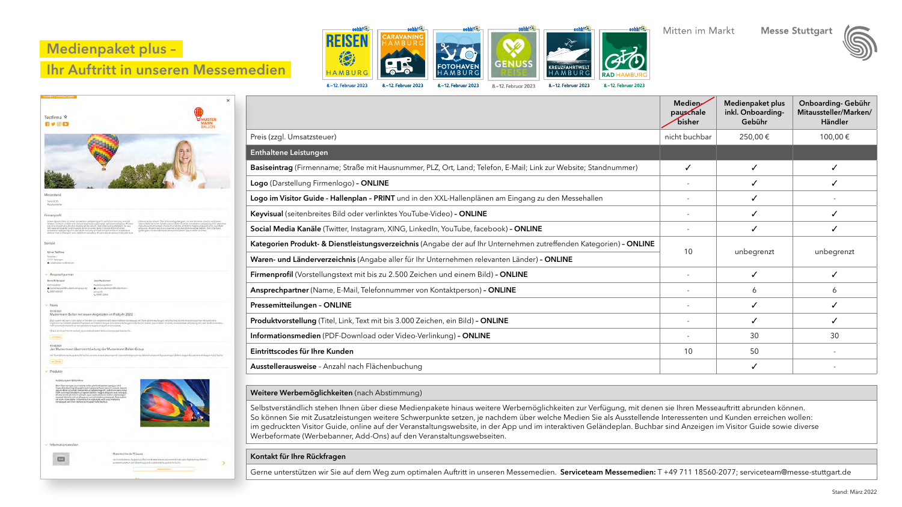### Medienpaket plus –

Testfirma \*

RYOD

Messestand -<br>Stand SC05<br>Hauptausstals Firmenprofi

Kontakt Körner Testfirma Testalize 1<br>11111 Testingen<br>■ reliefskiskoerme@web.r Ansprechpartne **Bernd R. Beispie** Dimitesp News

zor News

vel Parei  $\mu\sigma$  Heres Produkte

Informationsmed  $\equiv$ 

19.19.2021<br>Mustermann Ballon mit neuen Angeboten im Frühjahr 2022

13.10.2021<br>Jan Mustermann übernimmt Leitung der Mustermann Bällon Group

## Ihr Auftritt in unseren Messemedien

**PMUS** 



Mitten im Markt **Messe Stuttgart** 



|                                                                                                                    | Medien<br>payschale<br><b>bisher</b> | Medienpaket plus<br>inkl. Onboarding-<br>Gebühr | Onboarding- Gebühr<br>Mitaussteller/Marken/<br>Händler |
|--------------------------------------------------------------------------------------------------------------------|--------------------------------------|-------------------------------------------------|--------------------------------------------------------|
| Preis (zzgl. Umsatzsteuer)                                                                                         | nicht buchbar                        | 250,00€                                         | 100,00€                                                |
| <b>Enthaltene Leistungen</b>                                                                                       |                                      |                                                 |                                                        |
| Basiseintrag (Firmenname; Straße mit Hausnummer, PLZ, Ort, Land; Telefon, E-Mail; Link zur Website; Standnummer)   |                                      | ✓                                               |                                                        |
| Logo (Darstellung Firmenlogo) - ONLINE                                                                             |                                      | ✓                                               |                                                        |
| Logo im Visitor Guide - Hallenplan - PRINT und in den XXL-Hallenplänen am Eingang zu den Messehallen               |                                      | ✓                                               |                                                        |
| Keyvisual (seitenbreites Bild oder verlinktes YouTube-Video) - ONLINE                                              |                                      |                                                 |                                                        |
| Social Media Kanäle (Twitter, Instagram, XING, LinkedIn, YouTube, facebook) - ONLINE                               |                                      | ✓                                               |                                                        |
| Kategorien Produkt- & Dienstleistungsverzeichnis (Angabe der auf Ihr Unternehmen zutreffenden Kategorien) - ONLINE | 10                                   | unbegrenzt                                      | unbegrenzt                                             |
| Waren- und Länderverzeichnis (Angabe aller für Ihr Unternehmen relevanten Länder) - ONLINE                         |                                      |                                                 |                                                        |
| Firmenprofil (Vorstellungstext mit bis zu 2.500 Zeichen und einem Bild) - ONLINE                                   |                                      |                                                 |                                                        |
| Ansprechpartner (Name, E-Mail, Telefonnummer von Kontaktperson) - ONLINE                                           |                                      | 6                                               | 6                                                      |
| Pressemitteilungen - ONLINE                                                                                        |                                      | ✓                                               |                                                        |
| Produktvorstellung (Titel, Link, Text mit bis 3.000 Zeichen, ein Bild) - ONLINE                                    |                                      |                                                 |                                                        |
| Informationsmedien (PDF-Download oder Video-Verlinkung) - ONLINE                                                   |                                      | 30                                              | 30                                                     |
| Eintrittscodes für Ihre Kunden                                                                                     | 10                                   | 50                                              |                                                        |
| Ausstellerausweise - Anzahl nach Flächenbuchung                                                                    |                                      |                                                 |                                                        |

### Weitere Werbemöglichkeiten (nach Abstimmung)

Selbstverständlich stehen Ihnen über diese Medienpakete hinaus weitere Werbemöglichkeiten zur Verfügung, mit denen sie Ihren Messeauftritt abrunden können. So können Sie mit Zusatzleistungen weitere Schwerpunkte setzen, je nachdem über welche Medien Sie als Ausstellende Interessenten und Kunden erreichen wollen: im gedruckten Visitor Guide, online auf der Veranstaltungswebsite, in der App und im interaktiven Geländeplan. Buchbar sind Anzeigen im Visitor Guide sowie diverse Werbeformate (Werbebanner, Add-Ons) auf den Veranstaltungswebseiten.

### Kontakt für Ihre Rückfragen

Gerne unterstützen wir Sie auf dem Weg zum optimalen Auftritt in unseren Messemedien. Serviceteam Messemedien: T +49 711 18560-2077; serviceteam@messe-stuttgart.de